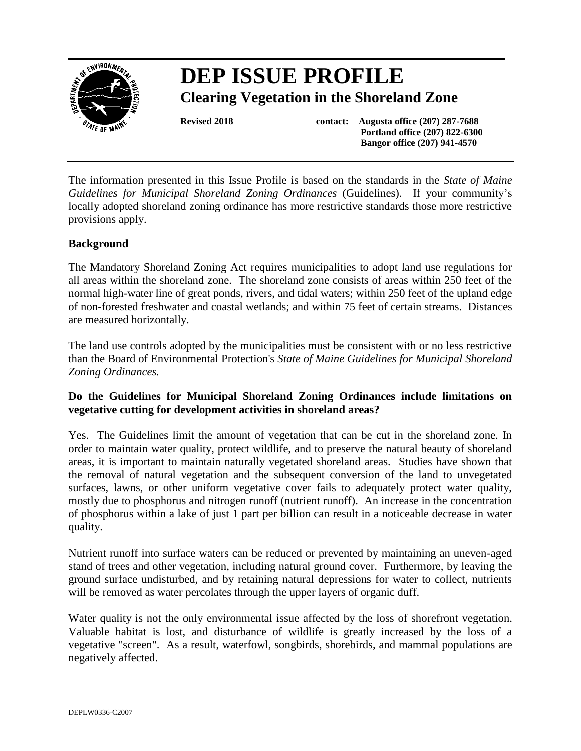

# **DEP ISSUE PROFILE Clearing Vegetation in the Shoreland Zone**

**Revised 2018 contact: Augusta office (207) 287-7688 Portland office (207) 822-6300 Bangor office (207) 941-4570**

The information presented in this Issue Profile is based on the standards in the *State of Maine Guidelines for Municipal Shoreland Zoning Ordinances* (Guidelines). If your community's locally adopted shoreland zoning ordinance has more restrictive standards those more restrictive provisions apply.

# **Background**

The Mandatory Shoreland Zoning Act requires municipalities to adopt land use regulations for all areas within the shoreland zone. The shoreland zone consists of areas within 250 feet of the normal high-water line of great ponds, rivers, and tidal waters; within 250 feet of the upland edge of non-forested freshwater and coastal wetlands; and within 75 feet of certain streams. Distances are measured horizontally.

The land use controls adopted by the municipalities must be consistent with or no less restrictive than the Board of Environmental Protection's *State of Maine Guidelines for Municipal Shoreland Zoning Ordinances.*

# **Do the Guidelines for Municipal Shoreland Zoning Ordinances include limitations on vegetative cutting for development activities in shoreland areas?**

Yes. The Guidelines limit the amount of vegetation that can be cut in the shoreland zone. In order to maintain water quality, protect wildlife, and to preserve the natural beauty of shoreland areas, it is important to maintain naturally vegetated shoreland areas. Studies have shown that the removal of natural vegetation and the subsequent conversion of the land to unvegetated surfaces, lawns, or other uniform vegetative cover fails to adequately protect water quality, mostly due to phosphorus and nitrogen runoff (nutrient runoff). An increase in the concentration of phosphorus within a lake of just 1 part per billion can result in a noticeable decrease in water quality.

Nutrient runoff into surface waters can be reduced or prevented by maintaining an uneven-aged stand of trees and other vegetation, including natural ground cover. Furthermore, by leaving the ground surface undisturbed, and by retaining natural depressions for water to collect, nutrients will be removed as water percolates through the upper layers of organic duff.

Water quality is not the only environmental issue affected by the loss of shorefront vegetation. Valuable habitat is lost, and disturbance of wildlife is greatly increased by the loss of a vegetative "screen". As a result, waterfowl, songbirds, shorebirds, and mammal populations are negatively affected.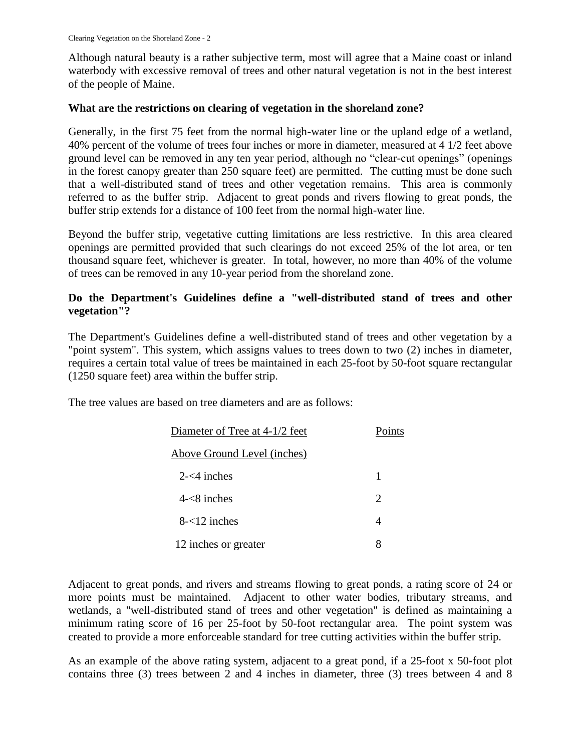Although natural beauty is a rather subjective term, most will agree that a Maine coast or inland waterbody with excessive removal of trees and other natural vegetation is not in the best interest of the people of Maine.

#### **What are the restrictions on clearing of vegetation in the shoreland zone?**

Generally, in the first 75 feet from the normal high-water line or the upland edge of a wetland, 40% percent of the volume of trees four inches or more in diameter, measured at 4 1/2 feet above ground level can be removed in any ten year period, although no "clear-cut openings" (openings in the forest canopy greater than 250 square feet) are permitted. The cutting must be done such that a well-distributed stand of trees and other vegetation remains. This area is commonly referred to as the buffer strip. Adjacent to great ponds and rivers flowing to great ponds, the buffer strip extends for a distance of 100 feet from the normal high-water line.

Beyond the buffer strip, vegetative cutting limitations are less restrictive. In this area cleared openings are permitted provided that such clearings do not exceed 25% of the lot area, or ten thousand square feet, whichever is greater. In total, however, no more than 40% of the volume of trees can be removed in any 10-year period from the shoreland zone.

#### **Do the Department's Guidelines define a "well-distributed stand of trees and other vegetation"?**

The Department's Guidelines define a well-distributed stand of trees and other vegetation by a "point system". This system, which assigns values to trees down to two (2) inches in diameter, requires a certain total value of trees be maintained in each 25-foot by 50-foot square rectangular (1250 square feet) area within the buffer strip.

The tree values are based on tree diameters and are as follows:

| Diameter of Tree at 4-1/2 feet | Points                |
|--------------------------------|-----------------------|
| Above Ground Level (inches)    |                       |
| $2 - 4$ inches                 | 1                     |
| $4 - 8$ inches                 | $\mathcal{D}_{\cdot}$ |
| $8 - 12$ inches                | 4                     |
| 12 inches or greater           | 8                     |

Adjacent to great ponds, and rivers and streams flowing to great ponds, a rating score of 24 or more points must be maintained. Adjacent to other water bodies, tributary streams, and wetlands, a "well-distributed stand of trees and other vegetation" is defined as maintaining a minimum rating score of 16 per 25-foot by 50-foot rectangular area. The point system was created to provide a more enforceable standard for tree cutting activities within the buffer strip.

As an example of the above rating system, adjacent to a great pond, if a 25-foot x 50-foot plot contains three (3) trees between 2 and 4 inches in diameter, three (3) trees between 4 and 8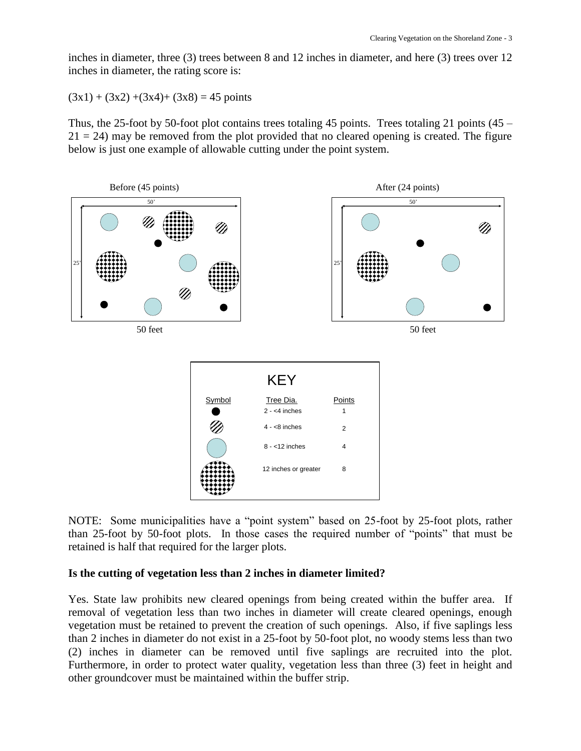inches in diameter, three (3) trees between 8 and 12 inches in diameter, and here (3) trees over 12 inches in diameter, the rating score is:

 $(3x1) + (3x2) + (3x4) + (3x8) = 45$  points

Thus, the 25-foot by 50-foot plot contains trees totaling 45 points. Trees totaling 21 points  $(45 21 = 24$ ) may be removed from the plot provided that no cleared opening is created. The figure below is just one example of allowable cutting under the point system.



NOTE: Some municipalities have a "point system" based on 25-foot by 25-foot plots, rather than 25-foot by 50-foot plots. In those cases the required number of "points" that must be retained is half that required for the larger plots.

#### **Is the cutting of vegetation less than 2 inches in diameter limited?**

Yes. State law prohibits new cleared openings from being created within the buffer area. If removal of vegetation less than two inches in diameter will create cleared openings, enough vegetation must be retained to prevent the creation of such openings. Also, if five saplings less than 2 inches in diameter do not exist in a 25-foot by 50-foot plot, no woody stems less than two (2) inches in diameter can be removed until five saplings are recruited into the plot. Furthermore, in order to protect water quality, vegetation less than three (3) feet in height and other groundcover must be maintained within the buffer strip.